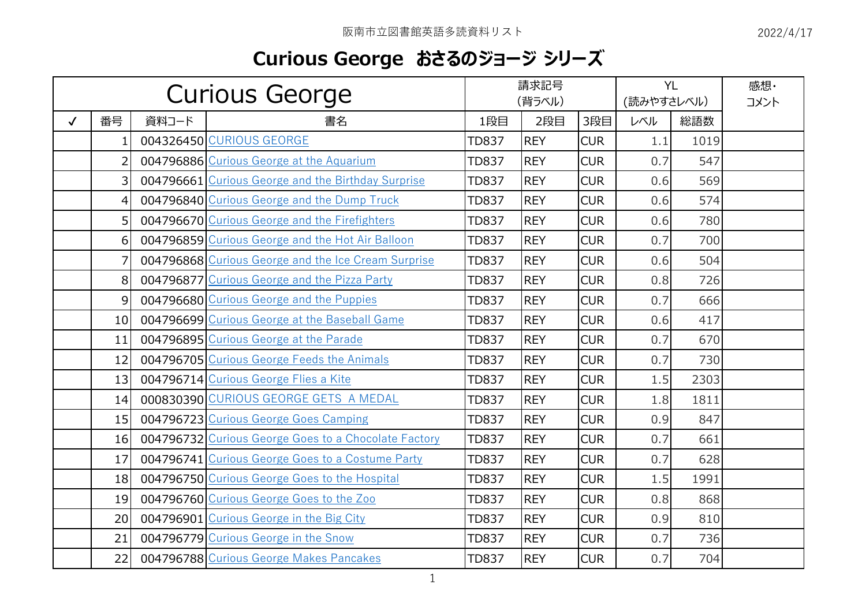## **Curious George おさるのジョージ シリーズ**

| <b>Curious George</b> |                |       | 請求記号<br>(背ラベル)                                       |              |            | <b>YL</b><br>(読みやすさレベル) |     | 感想·<br>コメント |  |
|-----------------------|----------------|-------|------------------------------------------------------|--------------|------------|-------------------------|-----|-------------|--|
| $\checkmark$          | 番号             | 資料コード | 書名                                                   | 1段目          | 2段目        | 3段目                     | レベル | 総語数         |  |
|                       | $\mathbf{1}$   |       | 004326450 CURIOUS GEORGE                             | <b>TD837</b> | <b>REY</b> | <b>CUR</b>              | 1.1 | 1019        |  |
|                       | $\overline{2}$ |       | 004796886 Curious George at the Aquarium             | <b>TD837</b> | <b>REY</b> | <b>CUR</b>              | 0.7 | 547         |  |
|                       | $\overline{3}$ |       | 004796661 Curious George and the Birthday Surprise   | <b>TD837</b> | <b>REY</b> | <b>CUR</b>              | 0.6 | 569         |  |
|                       | $\overline{4}$ |       | 004796840 Curious George and the Dump Truck          | <b>TD837</b> | <b>REY</b> | <b>CUR</b>              | 0.6 | 574         |  |
|                       | 5 <sup>1</sup> |       | 004796670 Curious George and the Firefighters        | <b>TD837</b> | <b>REY</b> | <b>CUR</b>              | 0.6 | 780         |  |
|                       | 6              |       | 004796859 Curious George and the Hot Air Balloon     | <b>TD837</b> | <b>REY</b> | <b>CUR</b>              | 0.7 | 700         |  |
|                       | 7              |       | 004796868 Curious George and the Ice Cream Surprise  | <b>TD837</b> | <b>REY</b> | <b>CUR</b>              | 0.6 | 504         |  |
|                       | 8              |       | 004796877 Curious George and the Pizza Party         | <b>TD837</b> | <b>REY</b> | <b>CUR</b>              | 0.8 | 726         |  |
|                       | $\overline{9}$ |       | 004796680 Curious George and the Puppies             | <b>TD837</b> | <b>REY</b> | <b>CUR</b>              | 0.7 | 666         |  |
|                       | 10             |       | 004796699 Curious George at the Baseball Game        | <b>TD837</b> | <b>REY</b> | <b>CUR</b>              | 0.6 | 417         |  |
|                       | 11             |       | 004796895 Curious George at the Parade               | <b>TD837</b> | <b>REY</b> | <b>CUR</b>              | 0.7 | 670         |  |
|                       | 12             |       | 004796705 Curious George Feeds the Animals           | <b>TD837</b> | <b>REY</b> | <b>CUR</b>              | 0.7 | 730         |  |
|                       | 13             |       | 004796714 Curious George Flies a Kite                | <b>TD837</b> | <b>REY</b> | <b>CUR</b>              | 1.5 | 2303        |  |
|                       | 14             |       | 000830390 CURIOUS GEORGE GETS A MEDAL                | <b>TD837</b> | <b>REY</b> | <b>CUR</b>              | 1.8 | 1811        |  |
|                       | 15             |       | 004796723 Curious George Goes Camping                | <b>TD837</b> | <b>REY</b> | <b>CUR</b>              | 0.9 | 847         |  |
|                       | 16             |       | 004796732 Curious George Goes to a Chocolate Factory | <b>TD837</b> | <b>REY</b> | <b>CUR</b>              | 0.7 | 661         |  |
|                       | 17             |       | 004796741 Curious George Goes to a Costume Party     | <b>TD837</b> | <b>REY</b> | <b>CUR</b>              | 0.7 | 628         |  |
|                       | 18             |       | 004796750 Curious George Goes to the Hospital        | <b>TD837</b> | <b>REY</b> | <b>CUR</b>              | 1.5 | 1991        |  |
|                       | 19             |       | 004796760 Curious George Goes to the Zoo             | <b>TD837</b> | <b>REY</b> | <b>CUR</b>              | 0.8 | 868         |  |
|                       | 20             |       | 004796901 Curious George in the Big City             | <b>TD837</b> | <b>REY</b> | <b>CUR</b>              | 0.9 | 810         |  |
|                       | 21             |       | 004796779 Curious George in the Snow                 | <b>TD837</b> | <b>REY</b> | <b>CUR</b>              | 0.7 | 736         |  |
|                       | 22             |       | 004796788 Curious George Makes Pancakes              | <b>TD837</b> | <b>REY</b> | <b>CUR</b>              | 0.7 | 704         |  |